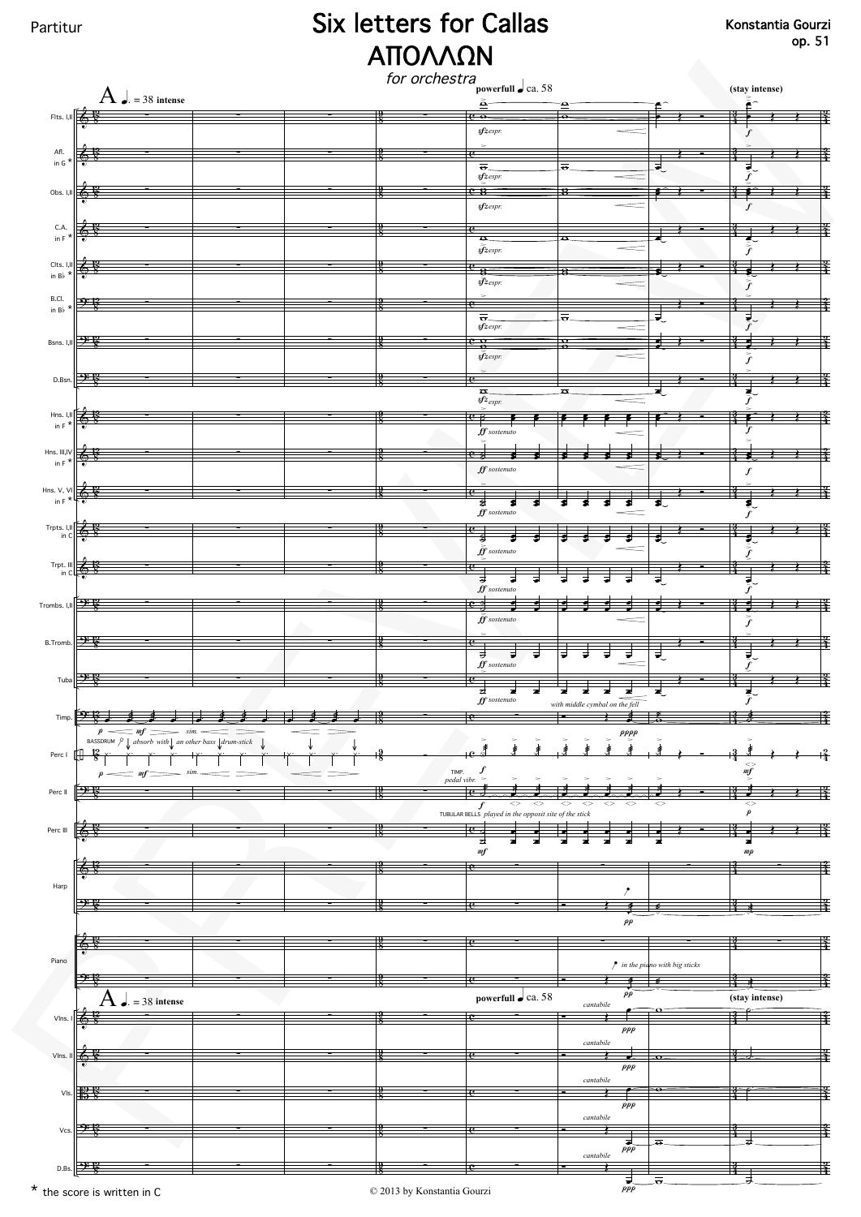

## Six letters for Callas AΠOΛΛΩN

Konstantia Gourzi op. 51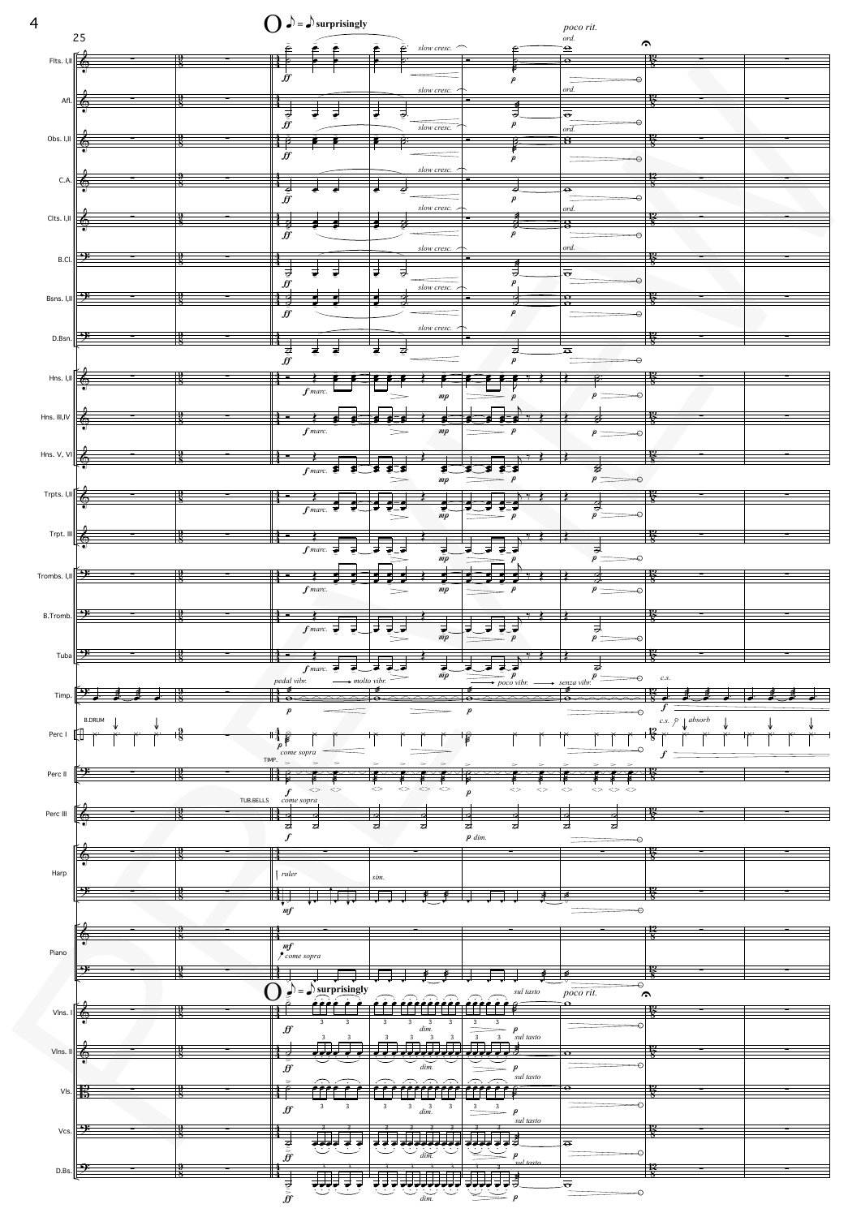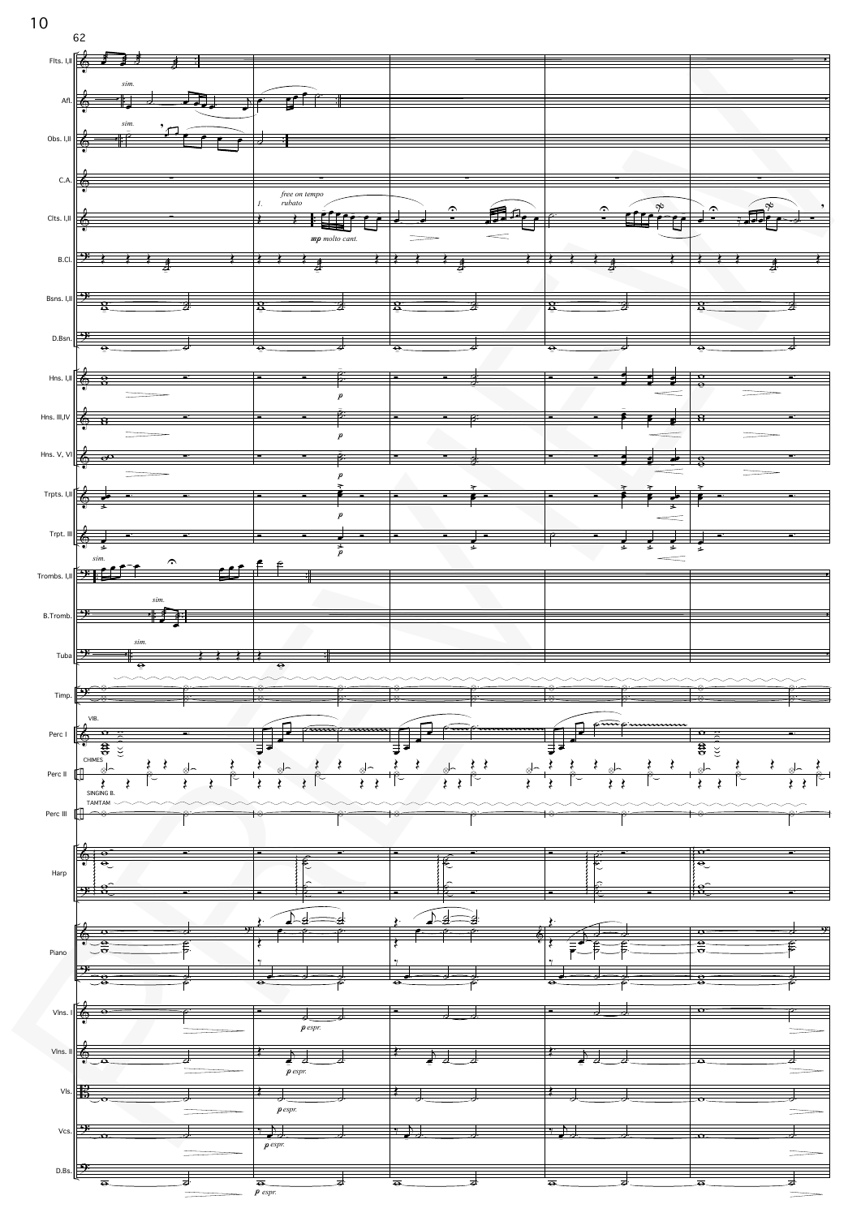